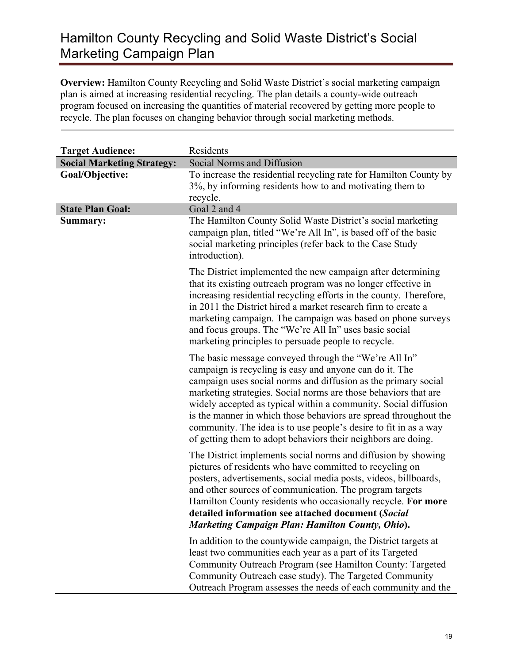## Hamilton County Recycling and Solid Waste District's Social Marketing Campaign Plan

**Overview:** Hamilton County Recycling and Solid Waste District's social marketing campaign plan is aimed at increasing residential recycling. The plan details a county-wide outreach program focused on increasing the quantities of material recovered by getting more people to recycle. The plan focuses on changing behavior through social marketing methods.

| <b>Target Audience:</b>           | Residents                                                                                                                                                                                                                                                                                                                                                                                                                                                                                                                         |
|-----------------------------------|-----------------------------------------------------------------------------------------------------------------------------------------------------------------------------------------------------------------------------------------------------------------------------------------------------------------------------------------------------------------------------------------------------------------------------------------------------------------------------------------------------------------------------------|
| <b>Social Marketing Strategy:</b> | Social Norms and Diffusion                                                                                                                                                                                                                                                                                                                                                                                                                                                                                                        |
| Goal/Objective:                   | To increase the residential recycling rate for Hamilton County by<br>3%, by informing residents how to and motivating them to<br>recycle.                                                                                                                                                                                                                                                                                                                                                                                         |
| <b>State Plan Goal:</b>           | Goal 2 and 4                                                                                                                                                                                                                                                                                                                                                                                                                                                                                                                      |
| Summary:                          | The Hamilton County Solid Waste District's social marketing<br>campaign plan, titled "We're All In", is based off of the basic<br>social marketing principles (refer back to the Case Study<br>introduction).                                                                                                                                                                                                                                                                                                                     |
|                                   | The District implemented the new campaign after determining<br>that its existing outreach program was no longer effective in<br>increasing residential recycling efforts in the county. Therefore,<br>in 2011 the District hired a market research firm to create a<br>marketing campaign. The campaign was based on phone surveys<br>and focus groups. The "We're All In" uses basic social<br>marketing principles to persuade people to recycle.                                                                               |
|                                   | The basic message conveyed through the "We're All In"<br>campaign is recycling is easy and anyone can do it. The<br>campaign uses social norms and diffusion as the primary social<br>marketing strategies. Social norms are those behaviors that are<br>widely accepted as typical within a community. Social diffusion<br>is the manner in which those behaviors are spread throughout the<br>community. The idea is to use people's desire to fit in as a way<br>of getting them to adopt behaviors their neighbors are doing. |
|                                   | The District implements social norms and diffusion by showing<br>pictures of residents who have committed to recycling on<br>posters, advertisements, social media posts, videos, billboards,<br>and other sources of communication. The program targets<br>Hamilton County residents who occasionally recycle. For more<br>detailed information see attached document (Social<br><b>Marketing Campaign Plan: Hamilton County, Ohio).</b>                                                                                         |
|                                   | In addition to the countywide campaign, the District targets at<br>least two communities each year as a part of its Targeted<br>Community Outreach Program (see Hamilton County: Targeted<br>Community Outreach case study). The Targeted Community<br>Outreach Program assesses the needs of each community and the                                                                                                                                                                                                              |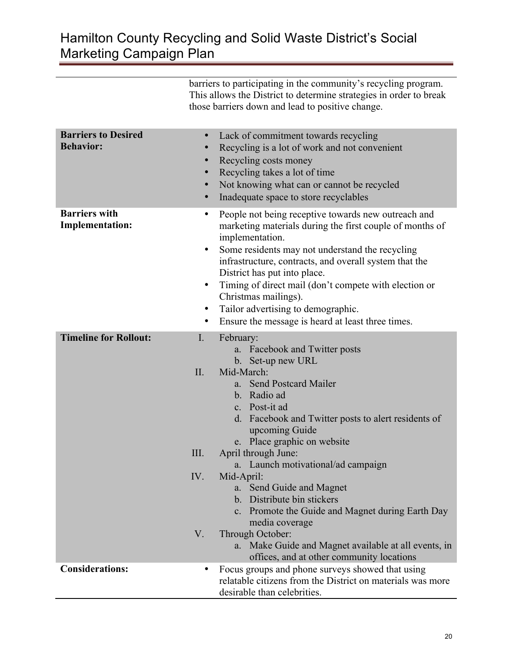## Hamilton County Recycling and Solid Waste District's Social Marketing Campaign Plan

barriers to participating in the community's recycling program. This allows the District to determine strategies in order to break those barriers down and lead to positive change.

| <b>Barriers to Desired</b><br><b>Behavior:</b> | $\bullet$<br>$\bullet$<br>$\bullet$<br>$\bullet$ | Lack of commitment towards recycling<br>Recycling is a lot of work and not convenient<br>Recycling costs money<br>Recycling takes a lot of time<br>Not knowing what can or cannot be recycled<br>Inadequate space to store recyclables                                                                                                                                                                                                                      |
|------------------------------------------------|--------------------------------------------------|-------------------------------------------------------------------------------------------------------------------------------------------------------------------------------------------------------------------------------------------------------------------------------------------------------------------------------------------------------------------------------------------------------------------------------------------------------------|
| <b>Barriers with</b><br><b>Implementation:</b> | ٠<br>$\bullet$<br>$\bullet$<br>٠<br>$\bullet$    | People not being receptive towards new outreach and<br>marketing materials during the first couple of months of<br>implementation.<br>Some residents may not understand the recycling<br>infrastructure, contracts, and overall system that the<br>District has put into place.<br>Timing of direct mail (don't compete with election or<br>Christmas mailings).<br>Tailor advertising to demographic.<br>Ensure the message is heard at least three times. |
| <b>Timeline for Rollout:</b>                   | $\mathbf{I}$ .                                   | February:<br>a. Facebook and Twitter posts<br>b. Set-up new URL                                                                                                                                                                                                                                                                                                                                                                                             |
|                                                | II.                                              | Mid-March:<br>a. Send Postcard Mailer<br>b. Radio ad<br>c. Post-it ad<br>d. Facebook and Twitter posts to alert residents of<br>upcoming Guide<br>e. Place graphic on website                                                                                                                                                                                                                                                                               |
|                                                | III.                                             | April through June:<br>a. Launch motivational/ad campaign                                                                                                                                                                                                                                                                                                                                                                                                   |
|                                                | IV.                                              | Mid-April:<br>a. Send Guide and Magnet<br>b. Distribute bin stickers<br>c. Promote the Guide and Magnet during Earth Day<br>media coverage                                                                                                                                                                                                                                                                                                                  |
|                                                | $V_{\cdot}$                                      | Through October:<br>a. Make Guide and Magnet available at all events, in<br>offices, and at other community locations                                                                                                                                                                                                                                                                                                                                       |
| <b>Considerations:</b>                         |                                                  | Focus groups and phone surveys showed that using<br>relatable citizens from the District on materials was more<br>desirable than celebrities.                                                                                                                                                                                                                                                                                                               |